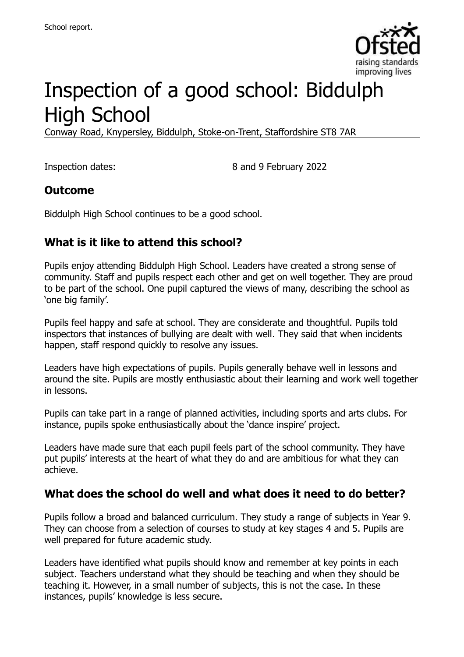

# Inspection of a good school: Biddulph High School

Conway Road, Knypersley, Biddulph, Stoke-on-Trent, Staffordshire ST8 7AR

Inspection dates: 8 and 9 February 2022

## **Outcome**

Biddulph High School continues to be a good school.

## **What is it like to attend this school?**

Pupils enjoy attending Biddulph High School. Leaders have created a strong sense of community. Staff and pupils respect each other and get on well together. They are proud to be part of the school. One pupil captured the views of many, describing the school as 'one big family'.

Pupils feel happy and safe at school. They are considerate and thoughtful. Pupils told inspectors that instances of bullying are dealt with well. They said that when incidents happen, staff respond quickly to resolve any issues.

Leaders have high expectations of pupils. Pupils generally behave well in lessons and around the site. Pupils are mostly enthusiastic about their learning and work well together in lessons.

Pupils can take part in a range of planned activities, including sports and arts clubs. For instance, pupils spoke enthusiastically about the 'dance inspire' project.

Leaders have made sure that each pupil feels part of the school community. They have put pupils' interests at the heart of what they do and are ambitious for what they can achieve.

#### **What does the school do well and what does it need to do better?**

Pupils follow a broad and balanced curriculum. They study a range of subjects in Year 9. They can choose from a selection of courses to study at key stages 4 and 5. Pupils are well prepared for future academic study.

Leaders have identified what pupils should know and remember at key points in each subject. Teachers understand what they should be teaching and when they should be teaching it. However, in a small number of subjects, this is not the case. In these instances, pupils' knowledge is less secure.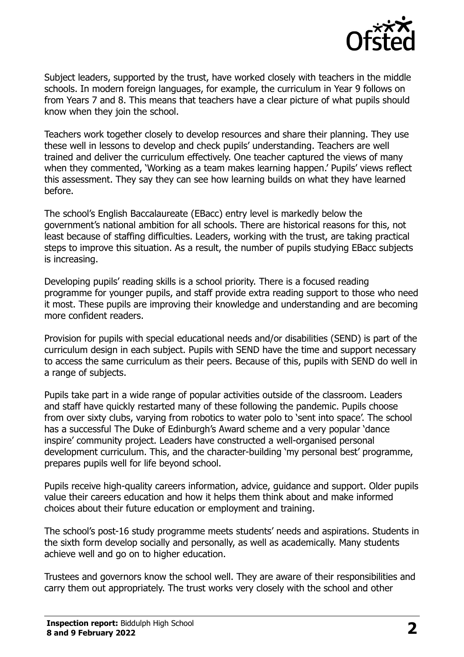

Subject leaders, supported by the trust, have worked closely with teachers in the middle schools. In modern foreign languages, for example, the curriculum in Year 9 follows on from Years 7 and 8. This means that teachers have a clear picture of what pupils should know when they join the school.

Teachers work together closely to develop resources and share their planning. They use these well in lessons to develop and check pupils' understanding. Teachers are well trained and deliver the curriculum effectively. One teacher captured the views of many when they commented, 'Working as a team makes learning happen.' Pupils' views reflect this assessment. They say they can see how learning builds on what they have learned before.

The school's English Baccalaureate (EBacc) entry level is markedly below the government's national ambition for all schools. There are historical reasons for this, not least because of staffing difficulties. Leaders, working with the trust, are taking practical steps to improve this situation. As a result, the number of pupils studying EBacc subjects is increasing.

Developing pupils' reading skills is a school priority. There is a focused reading programme for younger pupils, and staff provide extra reading support to those who need it most. These pupils are improving their knowledge and understanding and are becoming more confident readers.

Provision for pupils with special educational needs and/or disabilities (SEND) is part of the curriculum design in each subject. Pupils with SEND have the time and support necessary to access the same curriculum as their peers. Because of this, pupils with SEND do well in a range of subjects.

Pupils take part in a wide range of popular activities outside of the classroom. Leaders and staff have quickly restarted many of these following the pandemic. Pupils choose from over sixty clubs, varying from robotics to water polo to 'sent into space'. The school has a successful The Duke of Edinburgh's Award scheme and a very popular 'dance inspire' community project. Leaders have constructed a well-organised personal development curriculum. This, and the character-building 'my personal best' programme, prepares pupils well for life beyond school.

Pupils receive high-quality careers information, advice, guidance and support. Older pupils value their careers education and how it helps them think about and make informed choices about their future education or employment and training.

The school's post-16 study programme meets students' needs and aspirations. Students in the sixth form develop socially and personally, as well as academically. Many students achieve well and go on to higher education.

Trustees and governors know the school well. They are aware of their responsibilities and carry them out appropriately. The trust works very closely with the school and other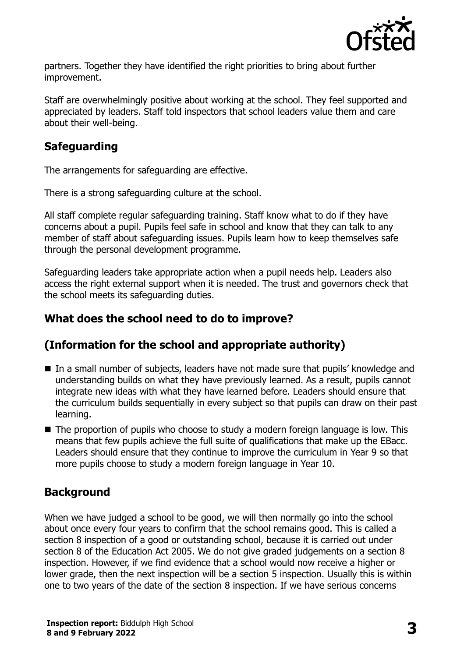

partners. Together they have identified the right priorities to bring about further improvement.

Staff are overwhelmingly positive about working at the school. They feel supported and appreciated by leaders. Staff told inspectors that school leaders value them and care about their well-being.

## **Safeguarding**

The arrangements for safeguarding are effective.

There is a strong safeguarding culture at the school.

All staff complete regular safeguarding training. Staff know what to do if they have concerns about a pupil. Pupils feel safe in school and know that they can talk to any member of staff about safeguarding issues. Pupils learn how to keep themselves safe through the personal development programme.

Safeguarding leaders take appropriate action when a pupil needs help. Leaders also access the right external support when it is needed. The trust and governors check that the school meets its safeguarding duties.

## **What does the school need to do to improve?**

## **(Information for the school and appropriate authority)**

- In a small number of subjects, leaders have not made sure that pupils' knowledge and understanding builds on what they have previously learned. As a result, pupils cannot integrate new ideas with what they have learned before. Leaders should ensure that the curriculum builds sequentially in every subject so that pupils can draw on their past learning.
- The proportion of pupils who choose to study a modern foreign language is low. This means that few pupils achieve the full suite of qualifications that make up the EBacc. Leaders should ensure that they continue to improve the curriculum in Year 9 so that more pupils choose to study a modern foreign language in Year 10.

## **Background**

When we have judged a school to be good, we will then normally go into the school about once every four years to confirm that the school remains good. This is called a section 8 inspection of a good or outstanding school, because it is carried out under section 8 of the Education Act 2005. We do not give graded judgements on a section 8 inspection. However, if we find evidence that a school would now receive a higher or lower grade, then the next inspection will be a section 5 inspection. Usually this is within one to two years of the date of the section 8 inspection. If we have serious concerns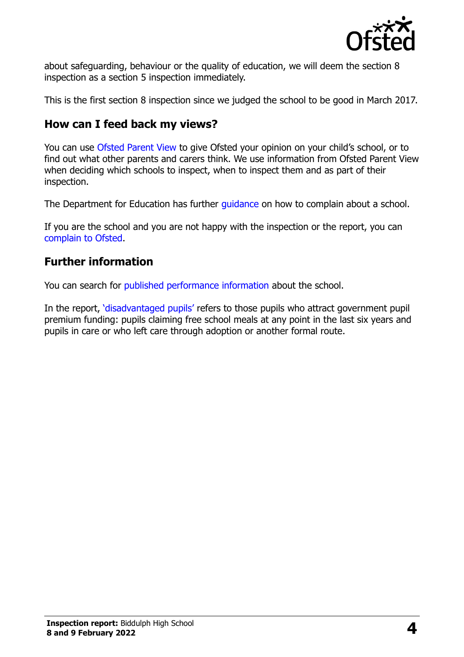

about safeguarding, behaviour or the quality of education, we will deem the section 8 inspection as a section 5 inspection immediately.

This is the first section 8 inspection since we judged the school to be good in March 2017.

#### **How can I feed back my views?**

You can use [Ofsted Parent View](https://parentview.ofsted.gov.uk/) to give Ofsted your opinion on your child's school, or to find out what other parents and carers think. We use information from Ofsted Parent View when deciding which schools to inspect, when to inspect them and as part of their inspection.

The Department for Education has further [guidance](http://www.gov.uk/complain-about-school) on how to complain about a school.

If you are the school and you are not happy with the inspection or the report, you can [complain to Ofsted.](https://www.gov.uk/complain-ofsted-report)

## **Further information**

You can search for [published performance information](http://www.compare-school-performance.service.gov.uk/) about the school.

In the report, '[disadvantaged pupils](http://www.gov.uk/guidance/pupil-premium-information-for-schools-and-alternative-provision-settings)' refers to those pupils who attract government pupil premium funding: pupils claiming free school meals at any point in the last six years and pupils in care or who left care through adoption or another formal route.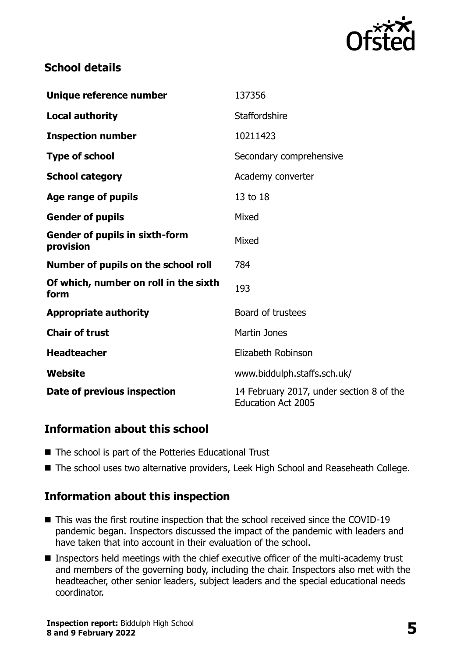

## **School details**

| Unique reference number                            | 137356                                                                |
|----------------------------------------------------|-----------------------------------------------------------------------|
| <b>Local authority</b>                             | Staffordshire                                                         |
| <b>Inspection number</b>                           | 10211423                                                              |
| <b>Type of school</b>                              | Secondary comprehensive                                               |
| <b>School category</b>                             | Academy converter                                                     |
| Age range of pupils                                | 13 to 18                                                              |
| <b>Gender of pupils</b>                            | Mixed                                                                 |
| <b>Gender of pupils in sixth-form</b><br>provision | Mixed                                                                 |
| Number of pupils on the school roll                | 784                                                                   |
| Of which, number on roll in the sixth<br>form      | 193                                                                   |
| <b>Appropriate authority</b>                       | Board of trustees                                                     |
| <b>Chair of trust</b>                              | <b>Martin Jones</b>                                                   |
| <b>Headteacher</b>                                 | Elizabeth Robinson                                                    |
| <b>Website</b>                                     | www.biddulph.staffs.sch.uk/                                           |
| Date of previous inspection                        | 14 February 2017, under section 8 of the<br><b>Education Act 2005</b> |

#### **Information about this school**

- The school is part of the Potteries Educational Trust
- The school uses two alternative providers, Leek High School and Reaseheath College.

#### **Information about this inspection**

- This was the first routine inspection that the school received since the COVID-19 pandemic began. Inspectors discussed the impact of the pandemic with leaders and have taken that into account in their evaluation of the school.
- Inspectors held meetings with the chief executive officer of the multi-academy trust and members of the governing body, including the chair. Inspectors also met with the headteacher, other senior leaders, subject leaders and the special educational needs coordinator.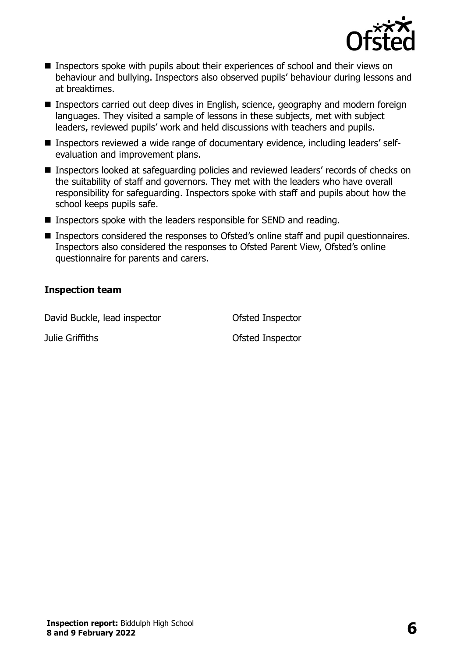

- Inspectors spoke with pupils about their experiences of school and their views on behaviour and bullying. Inspectors also observed pupils' behaviour during lessons and at breaktimes.
- Inspectors carried out deep dives in English, science, geography and modern foreign languages. They visited a sample of lessons in these subjects, met with subject leaders, reviewed pupils' work and held discussions with teachers and pupils.
- Inspectors reviewed a wide range of documentary evidence, including leaders' selfevaluation and improvement plans.
- Inspectors looked at safeguarding policies and reviewed leaders' records of checks on the suitability of staff and governors. They met with the leaders who have overall responsibility for safeguarding. Inspectors spoke with staff and pupils about how the school keeps pupils safe.
- Inspectors spoke with the leaders responsible for SEND and reading.
- Inspectors considered the responses to Ofsted's online staff and pupil questionnaires. Inspectors also considered the responses to Ofsted Parent View, Ofsted's online questionnaire for parents and carers.

#### **Inspection team**

David Buckle, lead inspector **Ofsted Inspector** 

Julie Griffiths Ofsted Inspector